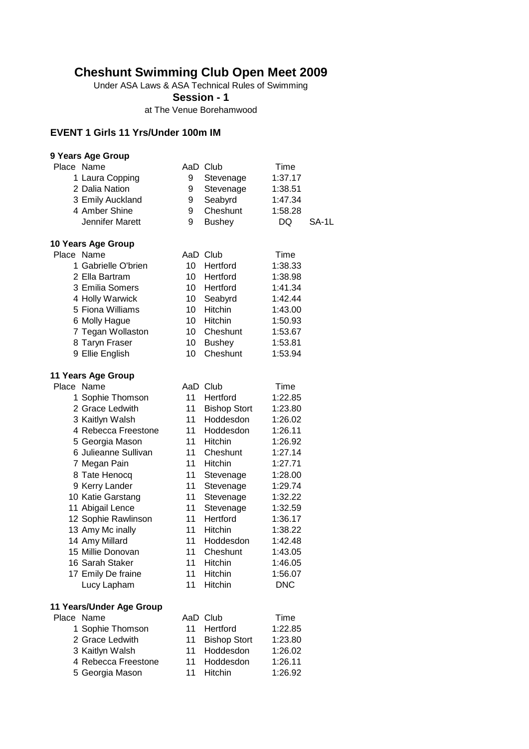### **Cheshunt Swimming Club Open Meet 2009**

Under ASA Laws & ASA Technical Rules of Swimming

**Session - 1**

at The Venue Borehamwood

#### **EVENT 1 Girls 11 Yrs/Under 100m IM**

| 9 Years Age Group        |    |                     |            |       |
|--------------------------|----|---------------------|------------|-------|
| Place Name               |    | AaD Club            | Time       |       |
| 1 Laura Copping          | 9  | Stevenage           | 1:37.17    |       |
| 2 Dalia Nation           | 9  | Stevenage           | 1:38.51    |       |
| 3 Emily Auckland         | 9  | Seabyrd             | 1:47.34    |       |
| 4 Amber Shine            | 9  | Cheshunt            | 1:58.28    |       |
| Jennifer Marett          | 9  | <b>Bushey</b>       | DQ         | SA-1L |
|                          |    |                     |            |       |
| 10 Years Age Group       |    |                     |            |       |
| Place Name               |    | AaD Club            | Time       |       |
| 1 Gabrielle O'brien      | 10 | Hertford            | 1:38.33    |       |
| 2 Ella Bartram           | 10 | Hertford            | 1:38.98    |       |
| 3 Emilia Somers          | 10 | Hertford            | 1:41.34    |       |
| 4 Holly Warwick          | 10 | Seabyrd             | 1:42.44    |       |
| 5 Fiona Williams         | 10 | Hitchin             | 1:43.00    |       |
| 6 Molly Hague            | 10 | Hitchin             | 1:50.93    |       |
| 7 Tegan Wollaston        | 10 | Cheshunt            | 1:53.67    |       |
| 8 Taryn Fraser           | 10 | <b>Bushey</b>       | 1:53.81    |       |
| 9 Ellie English          | 10 | Cheshunt            | 1:53.94    |       |
|                          |    |                     |            |       |
| 11 Years Age Group       |    |                     |            |       |
| Place Name               |    | AaD Club            | Time       |       |
| 1 Sophie Thomson         | 11 | Hertford            | 1:22.85    |       |
| 2 Grace Ledwith          | 11 | <b>Bishop Stort</b> | 1:23.80    |       |
| 3 Kaitlyn Walsh          | 11 | Hoddesdon           | 1:26.02    |       |
| 4 Rebecca Freestone      | 11 | Hoddesdon           | 1:26.11    |       |
|                          | 11 | Hitchin             |            |       |
| 5 Georgia Mason          |    |                     | 1:26.92    |       |
| 6 Julieanne Sullivan     | 11 | Cheshunt            | 1:27.14    |       |
| 7 Megan Pain             | 11 | Hitchin             | 1:27.71    |       |
| 8 Tate Henocq            | 11 | Stevenage           | 1:28.00    |       |
| 9 Kerry Lander           | 11 | Stevenage           | 1:29.74    |       |
| 10 Katie Garstang        | 11 | Stevenage           | 1:32.22    |       |
| 11 Abigail Lence         | 11 | Stevenage           | 1:32.59    |       |
| 12 Sophie Rawlinson      | 11 | Hertford            | 1:36.17    |       |
| 13 Amy Mc inally         | 11 | Hitchin             | 1:38.22    |       |
| 14 Amy Millard           | 11 | Hoddesdon           | 1:42.48    |       |
| 15 Millie Donovan        | 11 | Cheshunt            | 1:43.05    |       |
| 16 Sarah Staker          | 11 | Hitchin             | 1:46.05    |       |
| 17 Emily De fraine       | 11 | <b>Hitchin</b>      | 1:56.07    |       |
| Lucy Lapham              | 11 | <b>Hitchin</b>      | <b>DNC</b> |       |
|                          |    |                     |            |       |
| 11 Years/Under Age Group |    |                     | Time       |       |
| Place Name               |    | AaD Club            |            |       |
| 1 Sophie Thomson         | 11 | Hertford            | 1:22.85    |       |
| 2 Grace Ledwith          | 11 | <b>Bishop Stort</b> | 1:23.80    |       |
| 3 Kaitlyn Walsh          | 11 | Hoddesdon           | 1:26.02    |       |
| 4 Rebecca Freestone      | 11 | Hoddesdon           | 1:26.11    |       |
| 5 Georgia Mason          | 11 | Hitchin             | 1:26.92    |       |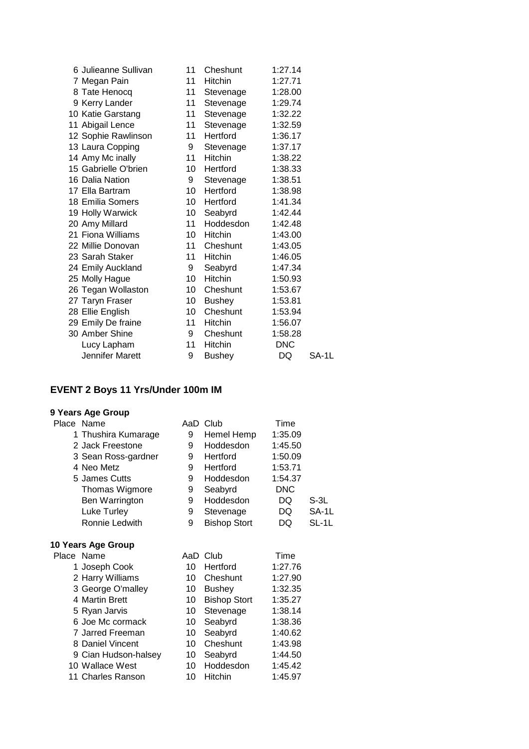| 6 Julieanne Sullivan | 11              | Cheshunt       | 1:27.14    |       |
|----------------------|-----------------|----------------|------------|-------|
| 7 Megan Pain         | 11              | <b>Hitchin</b> | 1:27.71    |       |
| 8 Tate Henocq        | 11              | Stevenage      | 1:28.00    |       |
| 9 Kerry Lander       | 11              | Stevenage      | 1:29.74    |       |
| 10 Katie Garstang    | 11              | Stevenage      | 1:32.22    |       |
| 11 Abigail Lence     | 11              | Stevenage      | 1:32.59    |       |
| 12 Sophie Rawlinson  | 11              | Hertford       | 1:36.17    |       |
| 13 Laura Copping     | 9               | Stevenage      | 1:37.17    |       |
| 14 Amy Mc inally     | 11              | Hitchin        | 1:38.22    |       |
| 15 Gabrielle O'brien | 10              | Hertford       | 1:38.33    |       |
| 16 Dalia Nation      | 9               | Stevenage      | 1:38.51    |       |
| 17 Ella Bartram      | 10              | Hertford       | 1:38.98    |       |
| 18 Emilia Somers     | 10 <sup>1</sup> | Hertford       | 1:41.34    |       |
| 19 Holly Warwick     | 10              | Seabyrd        | 1:42.44    |       |
| 20 Amy Millard       | 11              | Hoddesdon      | 1:42.48    |       |
| 21 Fiona Williams    | 10 <sup>1</sup> | Hitchin        | 1:43.00    |       |
| 22 Millie Donovan    | 11              | Cheshunt       | 1:43.05    |       |
| 23 Sarah Staker      | 11              | Hitchin        | 1:46.05    |       |
| 24 Emily Auckland    | 9               | Seabyrd        | 1:47.34    |       |
| 25 Molly Hague       | 10              | Hitchin        | 1:50.93    |       |
| 26 Tegan Wollaston   | 10              | Cheshunt       | 1:53.67    |       |
| 27 Taryn Fraser      | 10              | <b>Bushey</b>  | 1:53.81    |       |
| 28 Ellie English     | 10              | Cheshunt       | 1:53.94    |       |
| 29 Emily De fraine   | 11              | Hitchin        | 1:56.07    |       |
| 30 Amber Shine       | 9               | Cheshunt       | 1:58.28    |       |
| Lucy Lapham          | 11              | Hitchin        | <b>DNC</b> |       |
| Jennifer Marett      | 9               | <b>Bushey</b>  | DQ         | SA-1L |
|                      |                 |                |            |       |

## **EVENT 2 Boys 11 Yrs/Under 100m IM**

| Place Name           | AaD | Club                | Time       |       |
|----------------------|-----|---------------------|------------|-------|
| 1 Thushira Kumarage  | 9   | Hemel Hemp          | 1:35.09    |       |
| 2 Jack Freestone     | 9   | Hoddesdon           | 1:45.50    |       |
| 3 Sean Ross-gardner  | 9   | Hertford            | 1:50.09    |       |
| 4 Neo Metz           | 9   | Hertford            | 1:53.71    |       |
| 5 James Cutts        | 9   | Hoddesdon           | 1:54.37    |       |
| Thomas Wigmore       | 9   | Seabyrd             | <b>DNC</b> |       |
| Ben Warrington       | 9   | Hoddesdon           | DQ         | S-3L  |
| Luke Turley          | 9   | Stevenage           | DQ         | SA-1L |
| Ronnie Ledwith       | 9   | <b>Bishop Stort</b> | DQ.        | SL-1L |
| 10 Years Age Group   |     |                     |            |       |
| Place Name           |     | AaD Club            | Time       |       |
| 1 Joseph Cook        | 10  | Hertford            | 1:27.76    |       |
| 2 Harry Williams     | 10  | Cheshunt            | 1:27.90    |       |
| 3 George O'malley    | 10  | <b>Bushey</b>       | 1:32.35    |       |
| 4 Martin Brett       | 10  | <b>Bishop Stort</b> | 1:35.27    |       |
| 5 Ryan Jarvis        | 10  | Stevenage           | 1:38.14    |       |
| 6 Joe Mc cormack     | 10  | Seabyrd             | 1:38.36    |       |
| 7 Jarred Freeman     | 10  | Seabyrd             | 1:40.62    |       |
| 8 Daniel Vincent     | 10  | Cheshunt            | 1:43.98    |       |
| 9 Cian Hudson-halsey | 10  | Seabyrd             | 1:44.50    |       |
| 10 Wallace West      | 10  | Hoddesdon           | 1:45.42    |       |
| 11 Charles Ranson    | 10  | Hitchin             | 1:45.97    |       |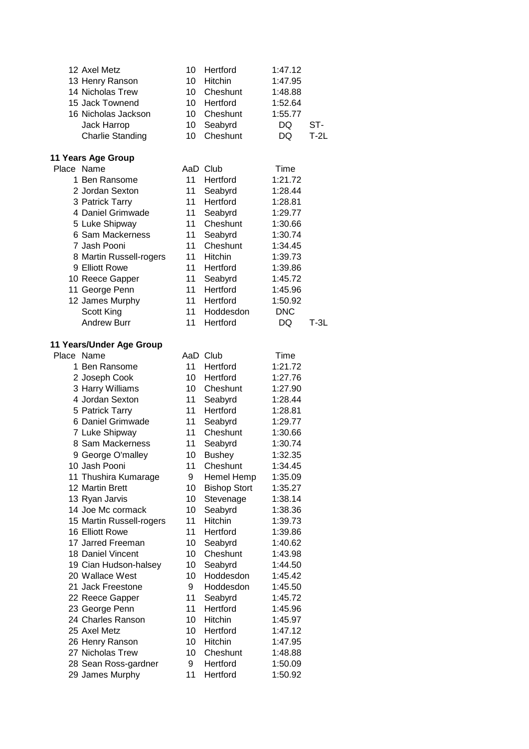| 12 Axel Metz             | 10 | Hertford            | 1:47.12    |        |
|--------------------------|----|---------------------|------------|--------|
| 13 Henry Ranson          | 10 | Hitchin             | 1:47.95    |        |
| 14 Nicholas Trew         | 10 | Cheshunt            | 1:48.88    |        |
| 15 Jack Townend          | 10 | Hertford            | 1:52.64    |        |
| 16 Nicholas Jackson      | 10 | Cheshunt            | 1:55.77    |        |
| Jack Harrop              | 10 | Seabyrd             | DQ         | ST-    |
| <b>Charlie Standing</b>  | 10 | Cheshunt            | DQ         | $T-2L$ |
| 11 Years Age Group       |    |                     |            |        |
| Place Name               |    | AaD Club            | Time       |        |
| 1 Ben Ransome            | 11 | Hertford            | 1:21.72    |        |
| 2 Jordan Sexton          | 11 | Seabyrd             | 1:28.44    |        |
| 3 Patrick Tarry          | 11 | Hertford            | 1:28.81    |        |
| 4 Daniel Grimwade        | 11 | Seabyrd             | 1:29.77    |        |
| 5 Luke Shipway           | 11 | Cheshunt            | 1:30.66    |        |
| 6 Sam Mackerness         | 11 | Seabyrd             | 1:30.74    |        |
| 7 Jash Pooni             | 11 | Cheshunt            | 1:34.45    |        |
| 8 Martin Russell-rogers  | 11 | Hitchin             | 1:39.73    |        |
| 9 Elliott Rowe           | 11 | Hertford            | 1:39.86    |        |
| 10 Reece Gapper          | 11 | Seabyrd             | 1:45.72    |        |
| 11 George Penn           | 11 | Hertford            | 1:45.96    |        |
| 12 James Murphy          | 11 | Hertford            | 1:50.92    |        |
| Scott King               | 11 | Hoddesdon           | <b>DNC</b> |        |
| <b>Andrew Burr</b>       | 11 | Hertford            | DQ         | $T-3L$ |
|                          |    |                     |            |        |
| 11 Years/Under Age Group |    |                     |            |        |
| Place Name               |    | AaD Club            | Time       |        |
| 1 Ben Ransome            | 11 | Hertford            | 1:21.72    |        |
| 2 Joseph Cook            | 10 | Hertford            | 1:27.76    |        |
| 3 Harry Williams         | 10 | Cheshunt            | 1:27.90    |        |
| 4 Jordan Sexton          | 11 | Seabyrd             | 1:28.44    |        |
| 5 Patrick Tarry          | 11 | Hertford            | 1:28.81    |        |
| 6 Daniel Grimwade        | 11 | Seabyrd             | 1:29.77    |        |
| 7 Luke Shipway           | 11 | Cheshunt            | 1:30.66    |        |
| 8 Sam Mackerness         | 11 | Seabyrd             | 1:30.74    |        |
| 9 George O'malley        | 10 | <b>Bushey</b>       | 1:32.35    |        |
| 10 Jash Pooni            | 11 | Cheshunt            | 1:34.45    |        |
| 11 Thushira Kumarage     | 9  | Hemel Hemp          | 1:35.09    |        |
| 12 Martin Brett          | 10 | <b>Bishop Stort</b> | 1:35.27    |        |
| 13 Ryan Jarvis           | 10 | Stevenage           | 1:38.14    |        |
| 14 Joe Mc cormack        | 10 | Seabyrd             | 1:38.36    |        |
| 15 Martin Russell-rogers | 11 | Hitchin             | 1:39.73    |        |
| 16 Elliott Rowe          | 11 | Hertford            | 1:39.86    |        |
| 17 Jarred Freeman        | 10 | Seabyrd             | 1:40.62    |        |
| 18 Daniel Vincent        | 10 | Cheshunt            | 1:43.98    |        |
| 19 Cian Hudson-halsey    | 10 | Seabyrd             | 1:44.50    |        |
| 20 Wallace West          | 10 | Hoddesdon           | 1:45.42    |        |
| 21 Jack Freestone        | 9  | Hoddesdon           | 1:45.50    |        |
| 22 Reece Gapper          | 11 | Seabyrd             | 1:45.72    |        |
| 23 George Penn           | 11 | Hertford            | 1:45.96    |        |
| 24 Charles Ranson        | 10 | Hitchin             | 1:45.97    |        |
| 25 Axel Metz             | 10 | Hertford            | 1:47.12    |        |
| 26 Henry Ranson          | 10 | Hitchin             | 1:47.95    |        |
| 27 Nicholas Trew         | 10 | Cheshunt            | 1:48.88    |        |
| 28 Sean Ross-gardner     | 9  | Hertford            | 1:50.09    |        |
| 29 James Murphy          | 11 | Hertford            | 1:50.92    |        |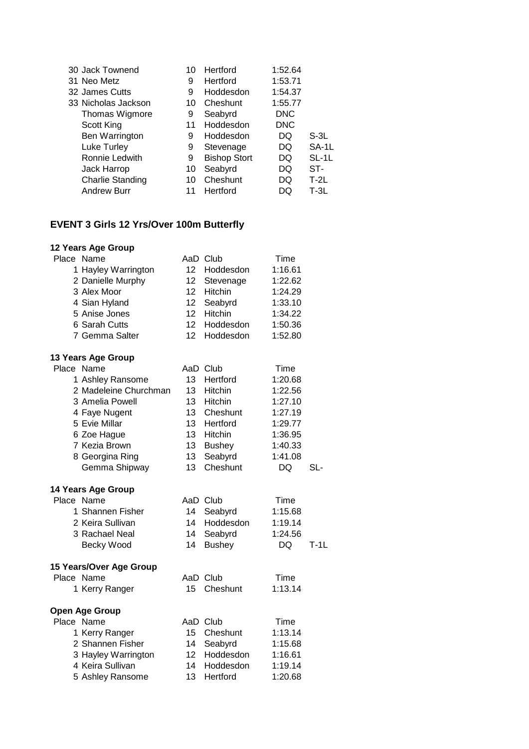| 10 | Hertford            | 1:52.64    |         |
|----|---------------------|------------|---------|
| 9  | Hertford            | 1:53.71    |         |
| 9  | Hoddesdon           | 1:54.37    |         |
| 10 | Cheshunt            | 1:55.77    |         |
| 9  | Seabyrd             | <b>DNC</b> |         |
| 11 | Hoddesdon           | <b>DNC</b> |         |
| 9  | Hoddesdon           | DQ         | $S-3L$  |
| 9  | Stevenage           | DQ         | SA-1L   |
| 9  | <b>Bishop Stort</b> | DQ         | $SL-1L$ |
| 10 | Seabyrd             | DQ         | ST-     |
| 10 | Cheshunt            | DQ         | $T-2L$  |
|    | Hertford            | DO         | $T-3L$  |
|    |                     |            |         |

## **EVENT 3 Girls 12 Yrs/Over 100m Butterfly**

| Place Name              |                  | AaD Club      | Time    |        |
|-------------------------|------------------|---------------|---------|--------|
| 1 Hayley Warrington     | 12 <sup>12</sup> | Hoddesdon     | 1:16.61 |        |
| 2 Danielle Murphy       | 12 <sup>7</sup>  | Stevenage     | 1:22.62 |        |
| 3 Alex Moor             | 12 <sup>7</sup>  | Hitchin       | 1:24.29 |        |
| 4 Sian Hyland           | 12 <sup>7</sup>  | Seabyrd       | 1:33.10 |        |
| 5 Anise Jones           | 12               | Hitchin       | 1:34.22 |        |
| 6 Sarah Cutts           | 12               | Hoddesdon     | 1:50.36 |        |
| 7 Gemma Salter          | 12               | Hoddesdon     | 1:52.80 |        |
| 13 Years Age Group      |                  |               |         |        |
| Place Name              |                  | AaD Club      | Time    |        |
| 1 Ashley Ransome        | 13 <sup>7</sup>  | Hertford      | 1:20.68 |        |
| 2 Madeleine Churchman   | 13 <sup>7</sup>  | Hitchin       | 1:22.56 |        |
| 3 Amelia Powell         | 13               | Hitchin       | 1:27.10 |        |
| 4 Faye Nugent           | 13 <sup>7</sup>  | Cheshunt      | 1:27.19 |        |
| 5 Evie Millar           | 13 <sup>13</sup> | Hertford      | 1:29.77 |        |
| 6 Zoe Hague             | 13 <sup>7</sup>  | Hitchin       | 1:36.95 |        |
| 7 Kezia Brown           | 13 <sup>7</sup>  | <b>Bushey</b> | 1:40.33 |        |
| 8 Georgina Ring         | 13 <sup>7</sup>  | Seabyrd       | 1:41.08 |        |
| Gemma Shipway           | 13 <sup>2</sup>  | Cheshunt      | DQ      | SL-    |
| 14 Years Age Group      |                  |               |         |        |
| Place Name              |                  | AaD Club      | Time    |        |
| 1 Shannen Fisher        | 14               | Seabyrd       | 1:15.68 |        |
| 2 Keira Sullivan        | 14               | Hoddesdon     | 1:19.14 |        |
| 3 Rachael Neal          | 14               | Seabyrd       | 1:24.56 |        |
| Becky Wood              | 14               | <b>Bushey</b> | DQ      | $T-1L$ |
| 15 Years/Over Age Group |                  |               |         |        |
| Place Name              |                  | AaD Club      | Time    |        |
| 1 Kerry Ranger          | 15               | Cheshunt      | 1:13.14 |        |
| <b>Open Age Group</b>   |                  |               |         |        |
| Place Name              |                  | AaD Club      | Time    |        |
| 1 Kerry Ranger          | 15 <sup>7</sup>  | Cheshunt      | 1:13.14 |        |
| 2 Shannen Fisher        | 14               | Seabyrd       | 1:15.68 |        |
| 3 Hayley Warrington     | 12 <sup>7</sup>  | Hoddesdon     | 1:16.61 |        |
| 4 Keira Sullivan        | 14               | Hoddesdon     | 1:19.14 |        |
| 5 Ashley Ransome        | 13               | Hertford      | 1:20.68 |        |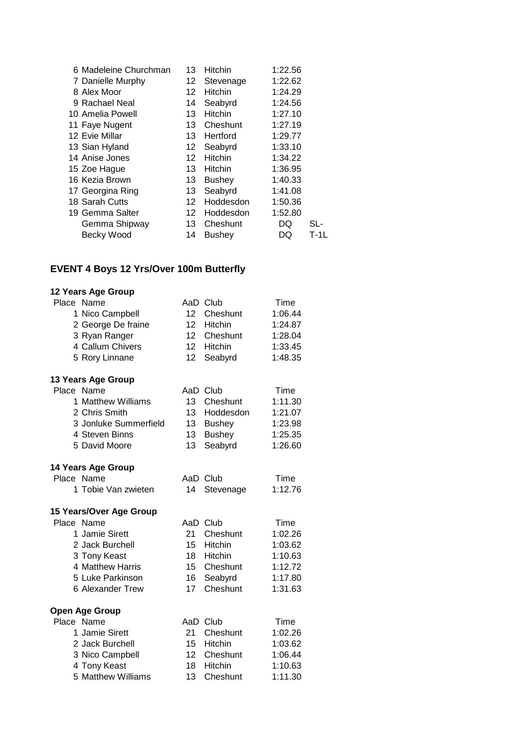| 6 Madeleine Churchman | 13              | <b>Hitchin</b> | 1:22.56 |        |
|-----------------------|-----------------|----------------|---------|--------|
| 7 Danielle Murphy     | 12              | Stevenage      | 1:22.62 |        |
| 8 Alex Moor           | 12.             | <b>Hitchin</b> | 1:24.29 |        |
| 9 Rachael Neal        | 14              | Seabyrd        | 1:24.56 |        |
| 10 Amelia Powell      | 13              | <b>Hitchin</b> | 1:27.10 |        |
| 11 Faye Nugent        | 13              | Cheshunt       | 1:27.19 |        |
| 12 Evie Millar        | 13              | Hertford       | 1:29.77 |        |
| 13 Sian Hyland        | 12 <sup>°</sup> | Seabyrd        | 1:33.10 |        |
| 14 Anise Jones        | 12 <sup>°</sup> | <b>Hitchin</b> | 1:34.22 |        |
| 15 Zoe Hague          | 13              | <b>Hitchin</b> | 1:36.95 |        |
| 16 Kezia Brown        | 13              | <b>Bushey</b>  | 1:40.33 |        |
| 17 Georgina Ring      | 13              | Seabyrd        | 1:41.08 |        |
| 18 Sarah Cutts        | 12              | Hoddesdon      | 1:50.36 |        |
| 19 Gemma Salter       | 12.             | Hoddesdon      | 1:52.80 |        |
| Gemma Shipway         | 13              | Cheshunt       | DQ      | SL-    |
| Becky Wood            | 14              | <b>Bushey</b>  | DQ      | $T-1L$ |
|                       |                 |                |         |        |

#### **EVENT 4 Boys 12 Yrs/Over 100m Butterfly**

| Place Name                          |                  | AaD Club            | Time               |
|-------------------------------------|------------------|---------------------|--------------------|
| 1 Nico Campbell                     | 12 <sup>12</sup> | Cheshunt            | 1:06.44            |
| 2 George De fraine                  | 12               | Hitchin             | 1:24.87            |
| 3 Ryan Ranger                       | 12               | Cheshunt            | 1:28.04            |
| 4 Callum Chivers                    | 12 <sup>7</sup>  | Hitchin             | 1:33.45            |
| 5 Rory Linnane                      | 12 <sub>2</sub>  | Seabyrd             | 1:48.35            |
| 13 Years Age Group                  |                  |                     |                    |
| Place Name                          |                  | AaD Club            | Time               |
| 1 Matthew Williams                  | 13 <sup>7</sup>  | Cheshunt            | 1:11.30            |
| 2 Chris Smith                       | 13               | Hoddesdon           | 1:21.07            |
| 3 Jonluke Summerfield               | 13 <sup>°</sup>  | <b>Bushey</b>       | 1:23.98            |
| 4 Steven Binns                      | 13               | <b>Bushey</b>       | 1:25.35            |
| 5 David Moore                       | 13               | Seabyrd             | 1:26.60            |
|                                     |                  |                     |                    |
| <b>14 Years Age Group</b>           |                  |                     |                    |
| Place Name                          |                  | AaD Club            | Time               |
| 1 Tobie Van zwieten                 | 14               | Stevenage           | 1:12.76            |
| 15 Years/Over Age Group             |                  |                     |                    |
| Place Name                          |                  | AaD Club            | Time               |
| 1 Jamie Sirett                      | 21               | Cheshunt            | 1:02.26            |
| 2 Jack Burchell                     | 15               | Hitchin             | 1:03.62            |
| 3 Tony Keast                        | 18               | Hitchin             | 1:10.63            |
| 4 Matthew Harris                    | 15               | Cheshunt            | 1:12.72            |
| 5 Luke Parkinson                    | 16               | Seabyrd             | 1:17.80            |
| 6 Alexander Trew                    | 17               | Cheshunt            | 1:31.63            |
|                                     |                  |                     |                    |
| <b>Open Age Group</b><br>Place Name |                  | AaD Club            | Time               |
|                                     | 21               |                     |                    |
| 1 Jamie Sirett<br>2 Jack Burchell   | 15 <sup>2</sup>  | Cheshunt<br>Hitchin | 1:02.26<br>1:03.62 |
| 3 Nico Campbell                     | 12               | Cheshunt            | 1:06.44            |
| 4 Tony Keast                        | 18               | Hitchin             | 1:10.63            |
| 5 Matthew Williams                  | 13               | Cheshunt            |                    |
|                                     |                  |                     | 1:11.30            |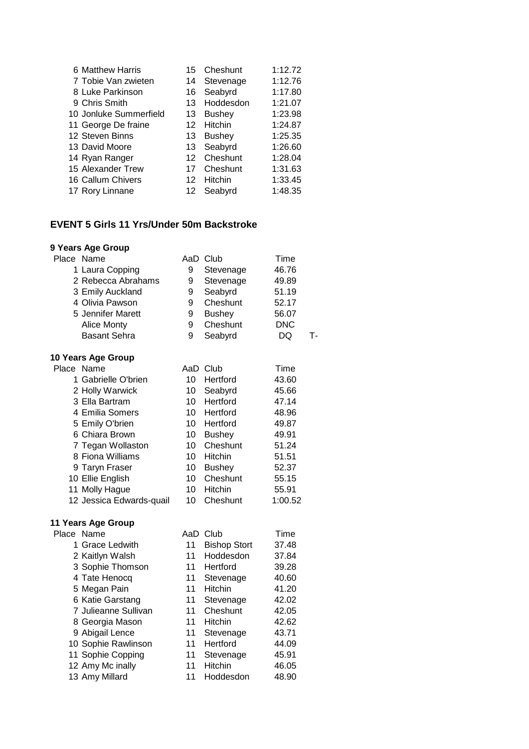| 6 Matthew Harris       | 15              | Cheshunt      | 1:12.72 |
|------------------------|-----------------|---------------|---------|
| 7 Tobie Van zwieten    | 14              | Stevenage     | 1:12.76 |
| 8 Luke Parkinson       | 16              | Seabyrd       | 1:17.80 |
| 9 Chris Smith          | 13              | Hoddesdon     | 1:21.07 |
| 10 Jonluke Summerfield | 13              | <b>Bushey</b> | 1:23.98 |
| 11 George De fraine    | 12              | Hitchin       | 1:24.87 |
| 12 Steven Binns        | 13              | <b>Bushey</b> | 1:25.35 |
| 13 David Moore         |                 | 13 Seabyrd    | 1:26.60 |
| 14 Ryan Ranger         | 12 <sup>2</sup> | Cheshunt      | 1:28.04 |
| 15 Alexander Trew      | 17              | Cheshunt      | 1:31.63 |
| 16 Callum Chivers      | 12              | Hitchin       | 1:33.45 |
| 17 Rory Linnane        | 12              | Seabyrd       | 1:48.35 |

### **EVENT 5 Girls 11 Yrs/Under 50m Backstroke**

## **9 Years Age Group**

|            | Place Name               |    | AaD Club            | Time       |    |
|------------|--------------------------|----|---------------------|------------|----|
|            | 1 Laura Copping          | 9  | Stevenage           | 46.76      |    |
|            | 2 Rebecca Abrahams       | 9  | Stevenage           | 49.89      |    |
|            | 3 Emily Auckland         | 9  | Seabyrd             | 51.19      |    |
|            | 4 Olivia Pawson          | 9  | Cheshunt            | 52.17      |    |
|            | 5 Jennifer Marett        | 9  | <b>Bushey</b>       | 56.07      |    |
|            | <b>Alice Monty</b>       | 9  | Cheshunt            | <b>DNC</b> |    |
|            | <b>Basant Sehra</b>      | 9  | Seabyrd             | <b>DQ</b>  | т. |
|            | 10 Years Age Group       |    |                     |            |    |
| Place      | Name                     |    | AaD Club            | Time       |    |
|            | 1 Gabrielle O'brien      | 10 | Hertford            | 43.60      |    |
|            | 2 Holly Warwick          | 10 | Seabyrd             | 45.66      |    |
|            | 3 Ella Bartram           | 10 | Hertford            | 47.14      |    |
|            | 4 Emilia Somers          | 10 | Hertford            | 48.96      |    |
|            | 5 Emily O'brien          | 10 | Hertford            | 49.87      |    |
|            | 6 Chiara Brown           | 10 | <b>Bushey</b>       | 49.91      |    |
|            | 7 Tegan Wollaston        | 10 | Cheshunt            | 51.24      |    |
|            | 8 Fiona Williams         | 10 | Hitchin             | 51.51      |    |
|            | 9 Taryn Fraser           | 10 | <b>Bushey</b>       | 52.37      |    |
|            | 10 Ellie English         | 10 | Cheshunt            | 55.15      |    |
|            | 11 Molly Hague           | 10 | Hitchin             | 55.91      |    |
|            | 12 Jessica Edwards-quail | 10 | Cheshunt            | 1:00.52    |    |
|            | 11 Years Age Group       |    |                     |            |    |
| Place Name |                          |    | AaD Club            | Time       |    |
|            | 1 Grace Ledwith          | 11 | <b>Bishop Stort</b> | 37.48      |    |
|            | 2 Kaitlyn Walsh          | 11 | Hoddesdon           | 37.84      |    |
|            | 3 Sophie Thomson         | 11 | Hertford            | 39.28      |    |
|            | 4 Tate Henocq            | 11 | Stevenage           | 40.60      |    |
|            | 5 Megan Pain             | 11 | Hitchin             | 41.20      |    |
|            | 6 Katie Garstang         | 11 | Stevenage           | 42.02      |    |
|            | 7 Julieanne Sullivan     | 11 | Cheshunt            | 42.05      |    |
|            | 8 Georgia Mason          | 11 | Hitchin             | 42.62      |    |
|            | 9 Abigail Lence          | 11 | Stevenage           | 43.71      |    |

10 Sophie Rawlinson 11 Hertford 44.09 11 Sophie Copping **11 Stevenage** 45.91 Amy Mc inally 11 Hitchin 46.05 13 Amy Millard **11 Hoddesdon** 48.90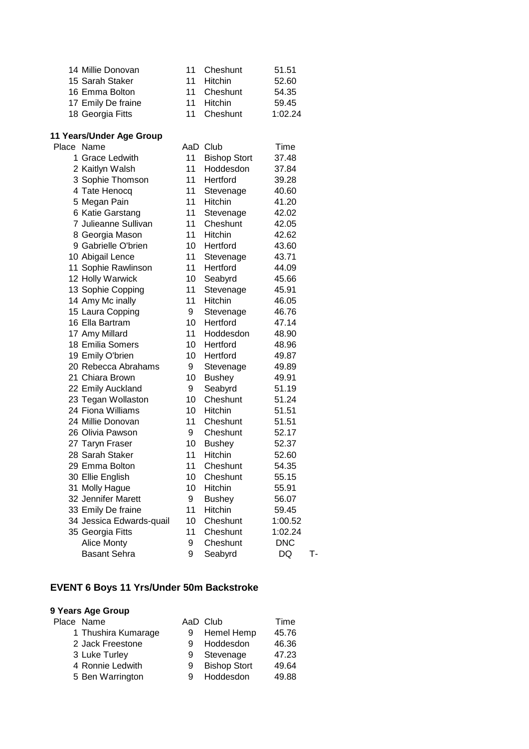| 14 Millie Donovan  | 11 Cheshunt | 51.51   |
|--------------------|-------------|---------|
| 15 Sarah Staker    | 11 Hitchin  | 52.60   |
| 16 Emma Bolton     | 11 Cheshunt | 54.35   |
| 17 Emily De fraine | 11 Hitchin  | 59.45   |
| 18 Georgia Fitts   | 11 Cheshunt | 1:02.24 |

# **11 Years/Under Age Group**

| Place Name               |    | AaD Club            | Time       |    |
|--------------------------|----|---------------------|------------|----|
| 1 Grace Ledwith          | 11 | <b>Bishop Stort</b> | 37.48      |    |
| 2 Kaitlyn Walsh          | 11 | Hoddesdon           | 37.84      |    |
| 3 Sophie Thomson         | 11 | Hertford            | 39.28      |    |
| 4 Tate Henocq            | 11 | Stevenage           | 40.60      |    |
| 5 Megan Pain             | 11 | Hitchin             | 41.20      |    |
| 6 Katie Garstang         | 11 | Stevenage           | 42.02      |    |
| 7 Julieanne Sullivan     | 11 | Cheshunt            | 42.05      |    |
| 8 Georgia Mason          | 11 | <b>Hitchin</b>      | 42.62      |    |
| 9 Gabrielle O'brien      | 10 | Hertford            | 43.60      |    |
| 10 Abigail Lence         | 11 | Stevenage           | 43.71      |    |
| 11 Sophie Rawlinson      | 11 | Hertford            | 44.09      |    |
| 12 Holly Warwick         | 10 | Seabyrd             | 45.66      |    |
| 13 Sophie Copping        | 11 | Stevenage           | 45.91      |    |
| 14 Amy Mc inally         | 11 | Hitchin             | 46.05      |    |
| 15 Laura Copping         | 9  | Stevenage           | 46.76      |    |
| 16 Ella Bartram          | 10 | Hertford            | 47.14      |    |
| 17 Amy Millard           | 11 | Hoddesdon           | 48.90      |    |
| 18 Emilia Somers         | 10 | Hertford            | 48.96      |    |
| 19 Emily O'brien         | 10 | Hertford            | 49.87      |    |
| 20 Rebecca Abrahams      | 9  | Stevenage           | 49.89      |    |
| 21 Chiara Brown          | 10 | <b>Bushey</b>       | 49.91      |    |
| 22 Emily Auckland        | 9  | Seabyrd             | 51.19      |    |
| 23 Tegan Wollaston       | 10 | Cheshunt            | 51.24      |    |
| 24 Fiona Williams        | 10 | Hitchin             | 51.51      |    |
| 24 Millie Donovan        | 11 | Cheshunt            | 51.51      |    |
| 26 Olivia Pawson         | 9  | Cheshunt            | 52.17      |    |
| 27 Taryn Fraser          | 10 | <b>Bushey</b>       | 52.37      |    |
| 28 Sarah Staker          | 11 | Hitchin             | 52.60      |    |
| 29 Emma Bolton           | 11 | Cheshunt            | 54.35      |    |
| 30 Ellie English         | 10 | Cheshunt            | 55.15      |    |
| 31 Molly Hague           | 10 | Hitchin             | 55.91      |    |
| 32 Jennifer Marett       | 9  | <b>Bushey</b>       | 56.07      |    |
| 33 Emily De fraine       | 11 | Hitchin             | 59.45      |    |
| 34 Jessica Edwards-quail | 10 | Cheshunt            | 1:00.52    |    |
| 35 Georgia Fitts         | 11 | Cheshunt            | 1:02.24    |    |
| <b>Alice Monty</b>       | 9  | Cheshunt            | <b>DNC</b> |    |
| <b>Basant Sehra</b>      | 9  | Seabyrd             | DQ         | T- |
|                          |    |                     |            |    |

### **EVENT 6 Boys 11 Yrs/Under 50m Backstroke**

| Place Name          |   | AaD Club            | Time  |
|---------------------|---|---------------------|-------|
| 1 Thushira Kumarage |   | Hemel Hemp          | 45.76 |
| 2 Jack Freestone    | 9 | Hoddesdon           | 46.36 |
| 3 Luke Turley       |   | Stevenage           | 47.23 |
| 4 Ronnie Ledwith    | 9 | <b>Bishop Stort</b> | 49.64 |
| 5 Ben Warrington    |   | Hoddesdon           | 49.88 |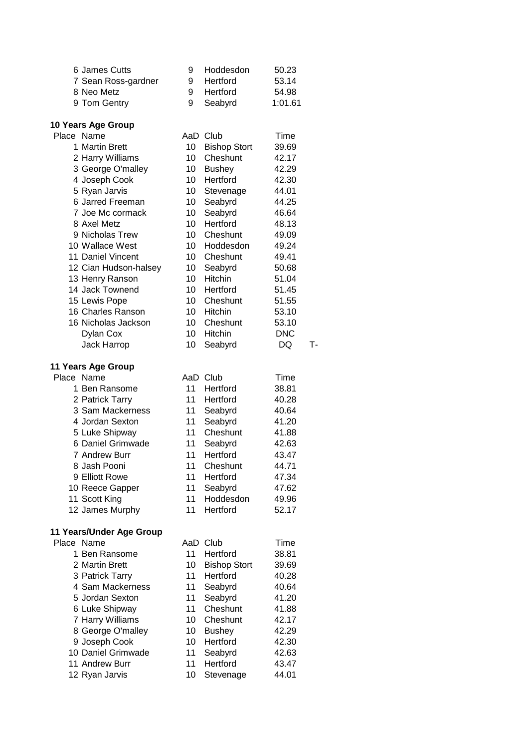| 6 James Cutts                      | 9  | Hoddesdon           | 50.23      |    |
|------------------------------------|----|---------------------|------------|----|
| 7 Sean Ross-gardner                | 9  | Hertford            | 53.14      |    |
| 8 Neo Metz                         | 9  | Hertford            | 54.98      |    |
| 9 Tom Gentry                       | 9  | Seabyrd             | 1:01.61    |    |
|                                    |    |                     |            |    |
| 10 Years Age Group                 |    |                     |            |    |
| Place Name                         |    | AaD Club            | Time       |    |
| 1 Martin Brett                     | 10 | <b>Bishop Stort</b> | 39.69      |    |
| 2 Harry Williams                   | 10 | Cheshunt            | 42.17      |    |
| 3 George O'malley                  | 10 | <b>Bushey</b>       | 42.29      |    |
| 4 Joseph Cook                      | 10 | Hertford            | 42.30      |    |
| 5 Ryan Jarvis                      | 10 | Stevenage           | 44.01      |    |
| 6 Jarred Freeman                   | 10 | Seabyrd             | 44.25      |    |
| 7 Joe Mc cormack                   | 10 | Seabyrd             | 46.64      |    |
| 8 Axel Metz                        | 10 | Hertford            | 48.13      |    |
| 9 Nicholas Trew                    | 10 | Cheshunt            | 49.09      |    |
| 10 Wallace West                    | 10 | Hoddesdon           | 49.24      |    |
| 11 Daniel Vincent                  | 10 | Cheshunt            | 49.41      |    |
| 12 Cian Hudson-halsey              | 10 | Seabyrd             | 50.68      |    |
|                                    | 10 | Hitchin             | 51.04      |    |
| 13 Henry Ranson<br>14 Jack Townend | 10 | Hertford            |            |    |
|                                    |    |                     | 51.45      |    |
| 15 Lewis Pope                      | 10 | Cheshunt            | 51.55      |    |
| 16 Charles Ranson                  | 10 | Hitchin             | 53.10      |    |
| 16 Nicholas Jackson                | 10 | Cheshunt            | 53.10      |    |
| Dylan Cox                          | 10 | Hitchin             | <b>DNC</b> |    |
| Jack Harrop                        | 10 | Seabyrd             | DQ         | т. |
|                                    |    |                     |            |    |
| 11 Years Age Group                 |    |                     |            |    |
| Place Name                         |    | AaD Club            | Time       |    |
| 1 Ben Ransome                      | 11 | Hertford            | 38.81      |    |
| 2 Patrick Tarry                    | 11 | Hertford            | 40.28      |    |
| 3 Sam Mackerness                   | 11 | Seabyrd             | 40.64      |    |
| 4 Jordan Sexton                    | 11 | Seabyrd             | 41.20      |    |
| 5 Luke Shipway                     | 11 | Cheshunt            | 41.88      |    |
| 6 Daniel Grimwade                  | 11 | Seabyrd             | 42.63      |    |
| 7 Andrew Burr                      | 11 | Hertford            | 43.47      |    |
| 8 Jash Pooni                       | 11 | Cheshunt            | 44.71      |    |
| 9 Elliott Rowe                     | 11 | Hertford            | 47.34      |    |
| 10 Reece Gapper                    | 11 | Seabyrd             | 47.62      |    |
| 11 Scott King                      | 11 | Hoddesdon           | 49.96      |    |
| 12 James Murphy                    | 11 | Hertford            | 52.17      |    |
|                                    |    |                     |            |    |
| 11 Years/Under Age Group           |    |                     |            |    |
| Place Name                         |    | AaD Club            | Time       |    |
| 1 Ben Ransome                      | 11 | Hertford            | 38.81      |    |
| 2 Martin Brett                     | 10 | <b>Bishop Stort</b> | 39.69      |    |
| 3 Patrick Tarry                    | 11 | Hertford            | 40.28      |    |
| 4 Sam Mackerness                   | 11 | Seabyrd             | 40.64      |    |
| 5 Jordan Sexton                    | 11 | Seabyrd             | 41.20      |    |
| 6 Luke Shipway                     | 11 | Cheshunt            | 41.88      |    |
| 7 Harry Williams                   | 10 | Cheshunt            | 42.17      |    |
| 8 George O'malley                  | 10 | <b>Bushey</b>       | 42.29      |    |
| 9 Joseph Cook                      | 10 | Hertford            | 42.30      |    |
| 10 Daniel Grimwade                 | 11 | Seabyrd             | 42.63      |    |
| 11 Andrew Burr                     | 11 | Hertford            | 43.47      |    |
| 12 Ryan Jarvis                     | 10 | Stevenage           | 44.01      |    |
|                                    |    |                     |            |    |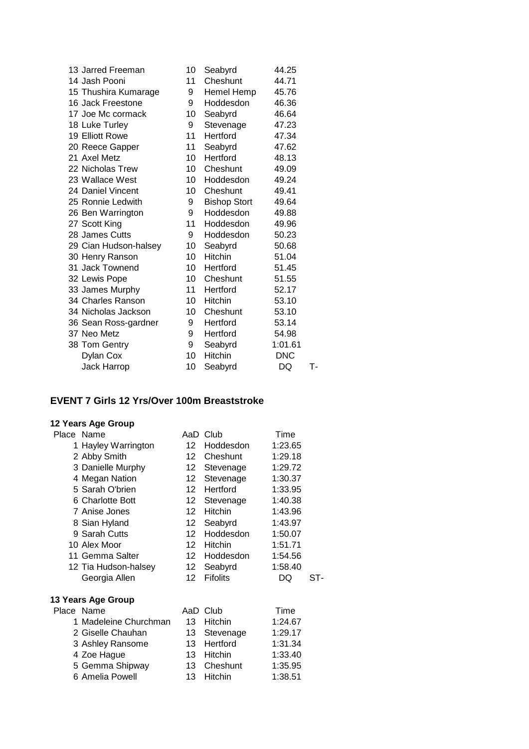| 13 Jarred Freeman     | 10 | Seabyrd             | 44.25      |    |
|-----------------------|----|---------------------|------------|----|
| 14 Jash Pooni         | 11 | Cheshunt            | 44.71      |    |
| 15 Thushira Kumarage  | 9  | Hemel Hemp          | 45.76      |    |
| 16 Jack Freestone     | 9  | Hoddesdon           | 46.36      |    |
| 17 Joe Mc cormack     | 10 | Seabyrd             | 46.64      |    |
| 18 Luke Turley        | 9  | Stevenage           | 47.23      |    |
| 19 Elliott Rowe       | 11 | Hertford            | 47.34      |    |
| 20 Reece Gapper       | 11 | Seabyrd             | 47.62      |    |
| 21 Axel Metz          | 10 | Hertford            | 48.13      |    |
| 22 Nicholas Trew      | 10 | Cheshunt            | 49.09      |    |
| 23 Wallace West       | 10 | Hoddesdon           | 49.24      |    |
| 24 Daniel Vincent     | 10 | Cheshunt            | 49.41      |    |
| 25 Ronnie Ledwith     | 9  | <b>Bishop Stort</b> | 49.64      |    |
| 26 Ben Warrington     | 9  | Hoddesdon           | 49.88      |    |
| 27 Scott King         | 11 | Hoddesdon           | 49.96      |    |
| 28 James Cutts        | 9  | Hoddesdon           | 50.23      |    |
| 29 Cian Hudson-halsey | 10 | Seabyrd             | 50.68      |    |
| 30 Henry Ranson       | 10 | <b>Hitchin</b>      | 51.04      |    |
| 31 Jack Townend       | 10 | Hertford            | 51.45      |    |
| 32 Lewis Pope         | 10 | Cheshunt            | 51.55      |    |
| 33 James Murphy       | 11 | Hertford            | 52.17      |    |
| 34 Charles Ranson     | 10 | Hitchin             | 53.10      |    |
| 34 Nicholas Jackson   | 10 | Cheshunt            | 53.10      |    |
| 36 Sean Ross-gardner  | 9  | Hertford            | 53.14      |    |
| 37 Neo Metz           | 9  | Hertford            | 54.98      |    |
| 38 Tom Gentry         | 9  | Seabyrd             | 1:01.61    |    |
| Dylan Cox             | 10 | <b>Hitchin</b>      | <b>DNC</b> |    |
| Jack Harrop           | 10 | Seabyrd             | DQ         | т- |
|                       |    |                     |            |    |

### **EVENT 7 Girls 12 Yrs/Over 100m Breaststroke**

#### **12 Years Age Group**

|            | Place Name            | AaD             | Club            | Time    |     |
|------------|-----------------------|-----------------|-----------------|---------|-----|
|            | 1 Hayley Warrington   | 12.             | Hoddesdon       | 1:23.65 |     |
|            | 2 Abby Smith          | 12              | Cheshunt        | 1:29.18 |     |
|            | 3 Danielle Murphy     | 12              | Stevenage       | 1:29.72 |     |
|            | 4 Megan Nation        | 12.             | Stevenage       | 1:30.37 |     |
|            | 5 Sarah O'brien       | 12              | Hertford        | 1:33.95 |     |
|            | 6 Charlotte Bott      | 12 <sup>°</sup> | Stevenage       | 1:40.38 |     |
|            | 7 Anise Jones         | 12              | <b>Hitchin</b>  | 1:43.96 |     |
|            | 8 Sian Hyland         | 12              | Seabyrd         | 1:43.97 |     |
|            | 9 Sarah Cutts         | 12              | Hoddesdon       | 1:50.07 |     |
|            | 10 Alex Moor          | 12              | <b>Hitchin</b>  | 1:51.71 |     |
|            | 11 Gemma Salter       | 12              | Hoddesdon       | 1:54.56 |     |
|            | 12 Tia Hudson-halsey  | 12              | Seabyrd         | 1:58.40 |     |
|            | Georgia Allen         | 12              | <b>Fifolits</b> | DQ      | ST- |
|            | 13 Years Age Group    |                 |                 |         |     |
| Place Name |                       |                 | AaD Club        | Time    |     |
|            | 1 Madeleine Churchman | 13              | <b>Hitchin</b>  | 1:24.67 |     |
|            | 2 Giselle Chauhan     | 13              | Stevenage       | 1:29.17 |     |
|            | 3 Ashley Ransome      | 13              | Hertford        | 1:31.34 |     |
|            | 4 Zoe Hague           | 13              | <b>Hitchin</b>  | 1:33.40 |     |

5 Gemma Shipway Cheshunt 1:35.95 Amelia Powell 13 Hitchin 1:38.51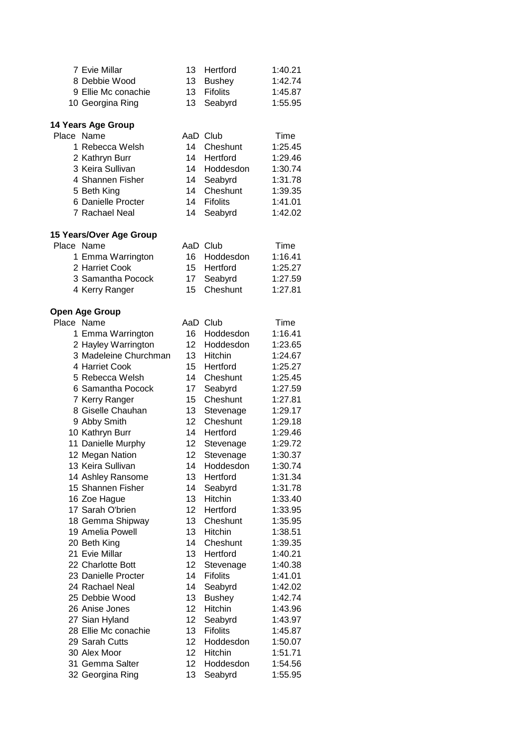| 7 Evie Millar             | 13 | Hertford        | 1:40.21 |
|---------------------------|----|-----------------|---------|
| 8 Debbie Wood             | 13 | <b>Bushey</b>   | 1:42.74 |
| 9 Ellie Mc conachie       | 13 | <b>Fifolits</b> | 1:45.87 |
| 10 Georgina Ring          | 13 | Seabyrd         | 1:55.95 |
|                           |    |                 |         |
| <b>14 Years Age Group</b> |    |                 |         |
| Place Name                |    | AaD Club        | Time    |
| 1 Rebecca Welsh           | 14 | Cheshunt        | 1:25.45 |
| 2 Kathryn Burr            | 14 | Hertford        | 1:29.46 |
| 3 Keira Sullivan          | 14 | Hoddesdon       | 1:30.74 |
| 4 Shannen Fisher          | 14 | Seabyrd         | 1:31.78 |
| 5 Beth King               | 14 | Cheshunt        | 1:39.35 |
| 6 Danielle Procter        | 14 | <b>Fifolits</b> | 1:41.01 |
| 7 Rachael Neal            | 14 | Seabyrd         | 1:42.02 |
|                           |    |                 |         |
| 15 Years/Over Age Group   |    |                 |         |
| Place Name                |    | AaD Club        | Time    |
| 1 Emma Warrington         | 16 | Hoddesdon       | 1:16.41 |
| 2 Harriet Cook            | 15 | Hertford        | 1:25.27 |
| 3 Samantha Pocock         | 17 | Seabyrd         | 1:27.59 |
|                           | 15 | Cheshunt        | 1:27.81 |
| 4 Kerry Ranger            |    |                 |         |
| <b>Open Age Group</b>     |    |                 |         |
| Place Name                |    | AaD Club        | Time    |
| 1 Emma Warrington         | 16 | Hoddesdon       | 1:16.41 |
| 2 Hayley Warrington       | 12 | Hoddesdon       | 1:23.65 |
| 3 Madeleine Churchman     | 13 | Hitchin         | 1:24.67 |
|                           |    | Hertford        |         |
| 4 Harriet Cook            | 15 |                 | 1:25.27 |
| 5 Rebecca Welsh           | 14 | Cheshunt        | 1:25.45 |
| 6 Samantha Pocock         | 17 | Seabyrd         | 1:27.59 |
| 7 Kerry Ranger            | 15 | Cheshunt        | 1:27.81 |
| 8 Giselle Chauhan         | 13 | Stevenage       | 1:29.17 |
| 9 Abby Smith              | 12 | Cheshunt        | 1:29.18 |
| 10 Kathryn Burr           | 14 | Hertford        | 1:29.46 |
| 11 Danielle Murphy        | 12 | Stevenage       | 1:29.72 |
| 12 Megan Nation           | 12 | Stevenage       | 1:30.37 |
| 13 Keira Sullivan         | 14 | Hoddesdon       | 1:30.74 |
| 14 Ashley Ransome         | 13 | Hertford        | 1:31.34 |
| 15 Shannen Fisher         | 14 | Seabyrd         | 1:31.78 |
| 16 Zoe Hague              | 13 | Hitchin         | 1:33.40 |
| 17 Sarah O'brien          | 12 | Hertford        | 1:33.95 |
| 18 Gemma Shipway          | 13 | Cheshunt        | 1:35.95 |
| 19 Amelia Powell          | 13 | Hitchin         | 1:38.51 |
| 20 Beth King              | 14 | Cheshunt        | 1:39.35 |
| 21 Evie Millar            | 13 | Hertford        | 1:40.21 |
| 22 Charlotte Bott         | 12 | Stevenage       | 1:40.38 |
| 23 Danielle Procter       | 14 | <b>Fifolits</b> | 1:41.01 |
| 24 Rachael Neal           | 14 | Seabyrd         | 1:42.02 |
| 25 Debbie Wood            | 13 | <b>Bushey</b>   | 1:42.74 |
| 26 Anise Jones            | 12 | Hitchin         | 1:43.96 |
| 27 Sian Hyland            | 12 | Seabyrd         | 1:43.97 |
| 28 Ellie Mc conachie      | 13 | <b>Fifolits</b> | 1:45.87 |
| 29 Sarah Cutts            | 12 | Hoddesdon       | 1:50.07 |
| 30 Alex Moor              | 12 | Hitchin         | 1:51.71 |
| 31 Gemma Salter           | 12 | Hoddesdon       | 1:54.56 |
|                           | 13 |                 | 1:55.95 |
| 32 Georgina Ring          |    | Seabyrd         |         |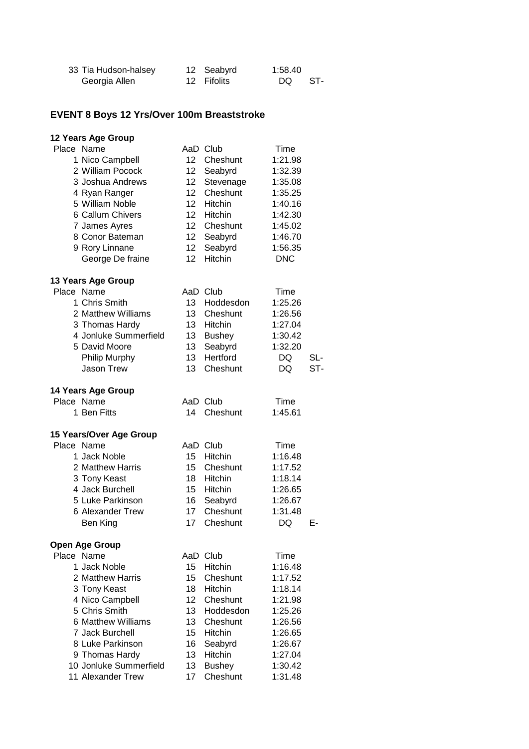| 33 Tia Hudson-halsey | 12 Seabyrd  | 1:58.40 |       |
|----------------------|-------------|---------|-------|
| Georgia Allen        | 12 Fifolits | DQ 1    | - ST- |

#### **EVENT 8 Boys 12 Yrs/Over 100m Breaststroke**

#### **12 Years Age Group** Place Name **AaD Club** Time 1 Nico Campbell 12 Cheshunt 1:21.98 2 William Pocock 12 Seabyrd 1:32.39 3 Joshua Andrews 12 Stevenage 1:35.08 4 Ryan Ranger 12 Cheshunt 1:35.25 5 William Noble 12 Hitchin 1:40.16 6 Callum Chivers 12 Hitchin 1:42.30 7 James Ayres 12 Cheshunt 1:45.02 8 Conor Bateman 12 Seabyrd 1:46.70 9 Rory Linnane 12 Seabyrd 1:56.35 George De fraine 12 Hitchin DNC **13 Years Age Group** Place Name **AaD** Club Time 1 Chris Smith 13 Hoddesdon 1:25.26 2 Matthew Williams 13 Cheshunt 1:26.56 3 Thomas Hardy 13 Hitchin 1:27.04 4 Jonluke Summerfield 13 Bushey 1:30.42 5 David Moore 13 Seabyrd 1:32.20 Philip Murphy **13 Hertford** DQ SL-Jason Trew 13 Cheshunt DQ ST-**14 Years Age Group** Place Name **AaD** Club Time 1 Ben Fitts 14 Cheshunt 1:45.61 **15 Years/Over Age Group** Place Name **AaD Club** Time 1 Jack Noble 15 Hitchin 1:16.48 2 Matthew Harris 15 Cheshunt 1:17.52 3 Tony Keast 18 Hitchin 1:18.14 4 Jack Burchell 15 Hitchin 1:26.65 5 Luke Parkinson 16 Seabyrd 1:26.67 6 Alexander Trew 17 Cheshunt 1:31.48 Ben King **17** Cheshunt DQ E-**Open Age Group** Place Name **AaD** Club Time 1 Jack Noble 15 Hitchin 1:16.48 2 Matthew Harris 15 Cheshunt 1:17.52 3 Tony Keast 18 Hitchin 1:18.14 4 Nico Campbell 12 Cheshunt 1:21.98 5 Chris Smith 13 Hoddesdon 1:25.26 6 Matthew Williams 13 Cheshunt 1:26.56 7 Jack Burchell 15 Hitchin 1:26.65 8 Luke Parkinson 16 Seabyrd 1:26.67 9 Thomas Hardy 13 Hitchin 1:27.04 10 Jonluke Summerfield 13 Bushey 1:30.42 11 Alexander Trew 17 Cheshunt 1:31.48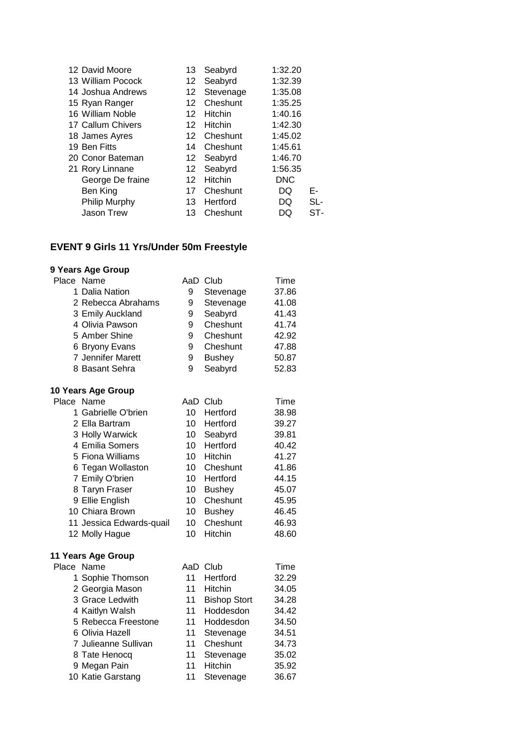| 12 David Moore    | 13 - | Seabyrd    | 1:32.20    |     |
|-------------------|------|------------|------------|-----|
| 13 William Pocock | 12   | Seabyrd    | 1:32.39    |     |
| 14 Joshua Andrews | 12   | Stevenage  | 1:35.08    |     |
| 15 Ryan Ranger    | 12   | Cheshunt   | 1:35.25    |     |
| 16 William Noble  | 12   | Hitchin    | 1:40.16    |     |
| 17 Callum Chivers | 12   | Hitchin    | 1:42.30    |     |
| 18 James Ayres    | 12   | Cheshunt   | 1:45.02    |     |
| 19 Ben Fitts      | 14   | Cheshunt   | 1:45.61    |     |
| 20 Conor Bateman  |      | 12 Seabyrd | 1:46.70    |     |
| 21 Rory Linnane   |      | 12 Seabyrd | 1:56.35    |     |
| George De fraine  | 12   | Hitchin    | <b>DNC</b> |     |
| Ben King          | 17   | Cheshunt   | DQ         | Е-  |
| Philip Murphy     | 13   | Hertford   | DQ         | SL- |
| <b>Jason Trew</b> | 13   | Cheshunt   | DO         | ST- |
|                   |      |            |            |     |

## **EVENT 9 Girls 11 Yrs/Under 50m Freestyle**

| Place Name               |    | AaD Club            | Time  |
|--------------------------|----|---------------------|-------|
| 1 Dalia Nation           | 9  | Stevenage           | 37.86 |
| 2 Rebecca Abrahams       | 9  | Stevenage           | 41.08 |
| 3 Emily Auckland         | 9  | Seabyrd             | 41.43 |
| 4 Olivia Pawson          | 9  | Cheshunt            | 41.74 |
| 5 Amber Shine            | 9  | Cheshunt            | 42.92 |
| 6 Bryony Evans           | 9  | Cheshunt            | 47.88 |
| 7 Jennifer Marett        | 9  | <b>Bushey</b>       | 50.87 |
| 8 Basant Sehra           | 9  | Seabyrd             | 52.83 |
| 10 Years Age Group       |    |                     |       |
| Place Name               |    | AaD Club            | Time  |
| 1 Gabrielle O'brien      | 10 | Hertford            | 38.98 |
| 2 Ella Bartram           | 10 | Hertford            | 39.27 |
| 3 Holly Warwick          | 10 | Seabyrd             | 39.81 |
| 4 Emilia Somers          | 10 | Hertford            | 40.42 |
| 5 Fiona Williams         | 10 | Hitchin             | 41.27 |
| 6 Tegan Wollaston        | 10 | Cheshunt            | 41.86 |
| 7 Emily O'brien          | 10 | Hertford            | 44.15 |
| 8 Taryn Fraser           | 10 | <b>Bushey</b>       | 45.07 |
| 9 Ellie English          | 10 | Cheshunt            | 45.95 |
| 10 Chiara Brown          | 10 | <b>Bushey</b>       | 46.45 |
| 11 Jessica Edwards-quail | 10 | Cheshunt            | 46.93 |
| 12 Molly Hague           | 10 | Hitchin             | 48.60 |
| 11 Years Age Group       |    |                     |       |
| Place Name               |    | AaD Club            | Time  |
| 1 Sophie Thomson         | 11 | Hertford            | 32.29 |
| 2 Georgia Mason          | 11 | Hitchin             | 34.05 |
| 3 Grace Ledwith          | 11 | <b>Bishop Stort</b> | 34.28 |
| 4 Kaitlyn Walsh          | 11 | Hoddesdon           | 34.42 |
| 5 Rebecca Freestone      | 11 | Hoddesdon           | 34.50 |
| 6 Olivia Hazell          | 11 | Stevenage           | 34.51 |
| 7 Julieanne Sullivan     | 11 | Cheshunt            | 34.73 |
| 8 Tate Henocq            | 11 | Stevenage           | 35.02 |
| 9 Megan Pain             | 11 | Hitchin             | 35.92 |
| 10 Katie Garstang        | 11 | Stevenage           | 36.67 |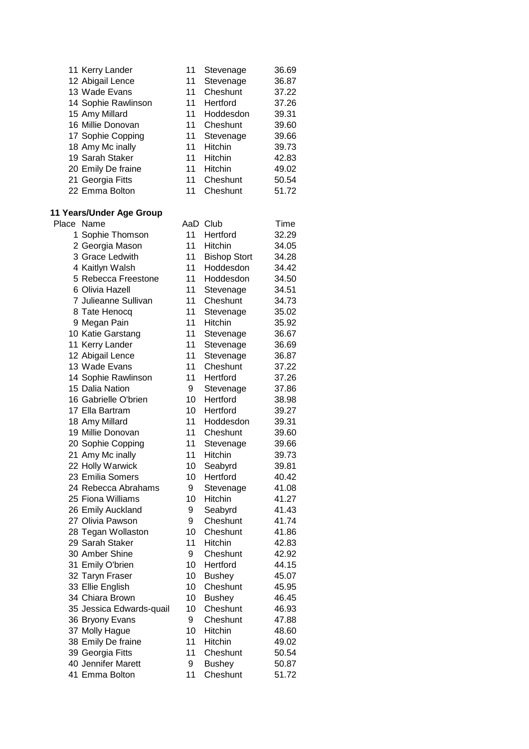| 11 Kerry Lander     | 11 | Stevenage      | 36.69 |
|---------------------|----|----------------|-------|
| 12 Abigail Lence    | 11 | Stevenage      | 36.87 |
| 13 Wade Evans       | 11 | Cheshunt       | 37.22 |
| 14 Sophie Rawlinson | 11 | Hertford       | 37.26 |
| 15 Amy Millard      | 11 | Hoddesdon      | 39.31 |
| 16 Millie Donovan   | 11 | Cheshunt       | 39.60 |
| 17 Sophie Copping   | 11 | Stevenage      | 39.66 |
| 18 Amy Mc inally    | 11 | Hitchin        | 39.73 |
| 19 Sarah Staker     | 11 | <b>Hitchin</b> | 42.83 |
| 20 Emily De fraine  | 11 | <b>Hitchin</b> | 49.02 |
| 21 Georgia Fitts    | 11 | Cheshunt       | 50.54 |
| 22 Emma Bolton      | 11 | Cheshunt       | 51.72 |

#### **11 Years/Under Age Group**

| Place | Name                     |    | AaD Club            | Time  |
|-------|--------------------------|----|---------------------|-------|
|       | 1 Sophie Thomson         | 11 | Hertford            | 32.29 |
|       | 2 Georgia Mason          | 11 | <b>Hitchin</b>      | 34.05 |
|       | 3 Grace Ledwith          | 11 | <b>Bishop Stort</b> | 34.28 |
|       | 4 Kaitlyn Walsh          | 11 | Hoddesdon           | 34.42 |
|       | 5 Rebecca Freestone      | 11 | Hoddesdon           | 34.50 |
|       | 6 Olivia Hazell          | 11 | Stevenage           | 34.51 |
|       | 7 Julieanne Sullivan     | 11 | Cheshunt            | 34.73 |
|       | 8 Tate Henocq            | 11 | Stevenage           | 35.02 |
|       | 9 Megan Pain             | 11 | Hitchin             | 35.92 |
|       | 10 Katie Garstang        | 11 | Stevenage           | 36.67 |
|       | 11 Kerry Lander          | 11 | Stevenage           | 36.69 |
|       | 12 Abigail Lence         | 11 | Stevenage           | 36.87 |
|       | 13 Wade Evans            | 11 | Cheshunt            | 37.22 |
|       | 14 Sophie Rawlinson      | 11 | Hertford            | 37.26 |
|       | 15 Dalia Nation          | 9  | Stevenage           | 37.86 |
|       | 16 Gabrielle O'brien     | 10 | Hertford            | 38.98 |
|       | 17 Ella Bartram          | 10 | Hertford            | 39.27 |
|       | 18 Amy Millard           | 11 | Hoddesdon           | 39.31 |
|       | 19 Millie Donovan        | 11 | Cheshunt            | 39.60 |
|       | 20 Sophie Copping        | 11 | Stevenage           | 39.66 |
|       | 21 Amy Mc inally         | 11 | Hitchin             | 39.73 |
|       | 22 Holly Warwick         | 10 | Seabyrd             | 39.81 |
|       | 23 Emilia Somers         | 10 | Hertford            | 40.42 |
|       | 24 Rebecca Abrahams      | 9  | Stevenage           | 41.08 |
|       | 25 Fiona Williams        | 10 | Hitchin             | 41.27 |
|       | 26 Emily Auckland        | 9  | Seabyrd             | 41.43 |
|       | 27 Olivia Pawson         | 9  | Cheshunt            | 41.74 |
|       | 28 Tegan Wollaston       | 10 | Cheshunt            | 41.86 |
|       | 29 Sarah Staker          | 11 | Hitchin             | 42.83 |
|       | 30 Amber Shine           | 9  | Cheshunt            | 42.92 |
|       | 31 Emily O'brien         | 10 | Hertford            | 44.15 |
|       | 32 Taryn Fraser          | 10 | <b>Bushey</b>       | 45.07 |
|       | 33 Ellie English         | 10 | Cheshunt            | 45.95 |
|       | 34 Chiara Brown          | 10 | <b>Bushey</b>       | 46.45 |
|       | 35 Jessica Edwards-quail | 10 | Cheshunt            | 46.93 |
|       | 36 Bryony Evans          | 9  | Cheshunt            | 47.88 |
|       | 37 Molly Hague           | 10 | Hitchin             | 48.60 |
|       | 38 Emily De fraine       | 11 | <b>Hitchin</b>      | 49.02 |
|       | 39 Georgia Fitts         | 11 | Cheshunt            | 50.54 |
|       | 40 Jennifer Marett       | 9  | <b>Bushey</b>       | 50.87 |
|       | 41 Emma Bolton           | 11 | Cheshunt            | 51.72 |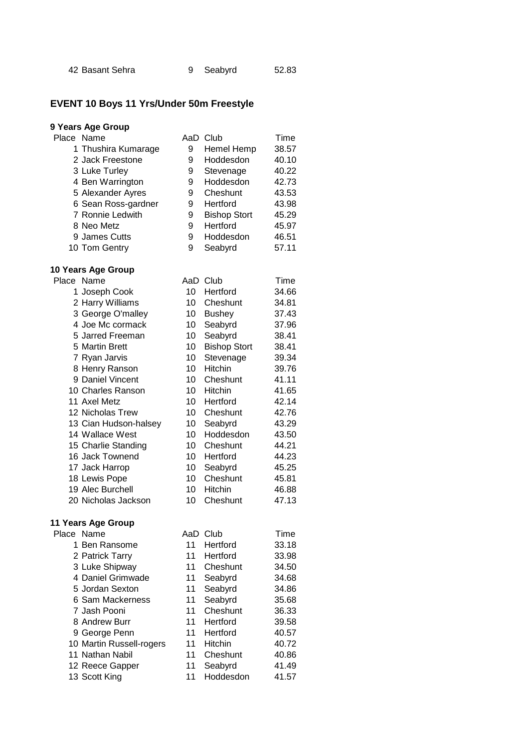|  | 42 Basant Sehra |  | 9 Seabyrd | 52.83 |
|--|-----------------|--|-----------|-------|
|--|-----------------|--|-----------|-------|

## **EVENT 10 Boys 11 Yrs/Under 50m Freestyle**

#### **9 Years Age Group**

| Place Name          | AaD | Club                | Time  |
|---------------------|-----|---------------------|-------|
| 1 Thushira Kumarage | 9   | <b>Hemel Hemp</b>   | 38.57 |
| 2 Jack Freestone    | 9   | Hoddesdon           | 40.10 |
| 3 Luke Turley       | 9   | Stevenage           | 40.22 |
| 4 Ben Warrington    | 9   | Hoddesdon           | 42.73 |
| 5 Alexander Ayres   | 9   | Cheshunt            | 43.53 |
| 6 Sean Ross-gardner | 9   | Hertford            | 43.98 |
| 7 Ronnie Ledwith    | 9   | <b>Bishop Stort</b> | 45.29 |
| 8 Neo Metz          | 9   | Hertford            | 45.97 |
| 9 James Cutts       | 9   | Hoddesdon           | 46.51 |
| 10 Tom Gentry       | 9   | Seabyrd             | 57.11 |

# **10 Years Age Group**

| Place Name            | AaD | Club                | Time  |
|-----------------------|-----|---------------------|-------|
| 1 Joseph Cook         | 10  | Hertford            | 34.66 |
| 2 Harry Williams      | 10  | Cheshunt            | 34.81 |
| 3 George O'malley     | 10  | <b>Bushey</b>       | 37.43 |
| 4 Joe Mc cormack      | 10  | Seabyrd             | 37.96 |
| 5 Jarred Freeman      | 10  | Seabyrd             | 38.41 |
| 5 Martin Brett        | 10  | <b>Bishop Stort</b> | 38.41 |
| 7 Ryan Jarvis         | 10  | Stevenage           | 39.34 |
| 8 Henry Ranson        | 10  | Hitchin             | 39.76 |
| 9 Daniel Vincent      | 10  | Cheshunt            | 41.11 |
| 10 Charles Ranson     | 10  | <b>Hitchin</b>      | 41.65 |
| 11 Axel Metz          | 10  | Hertford            | 42.14 |
| 12 Nicholas Trew      | 10  | Cheshunt            | 42.76 |
| 13 Cian Hudson-halsey | 10  | Seabyrd             | 43.29 |
| 14 Wallace West       | 10  | Hoddesdon           | 43.50 |
| 15 Charlie Standing   | 10  | Cheshunt            | 44.21 |
| 16 Jack Townend       | 10  | Hertford            | 44.23 |
| 17 Jack Harrop        | 10  | Seabyrd             | 45.25 |
| 18 Lewis Pope         | 10  | Cheshunt            | 45.81 |
| 19 Alec Burchell      | 10  | <b>Hitchin</b>      | 46.88 |
| 20 Nicholas Jackson   | 10  | Cheshunt            | 47.13 |

| Place Name               | AaD | Club           | Time  |
|--------------------------|-----|----------------|-------|
| 1 Ben Ransome            | 11  | Hertford       | 33.18 |
| 2 Patrick Tarry          | 11  | Hertford       | 33.98 |
| 3 Luke Shipway           | 11  | Cheshunt       | 34.50 |
| 4 Daniel Grimwade        | 11  | Seabyrd        | 34.68 |
| 5 Jordan Sexton          | 11  | Seabyrd        | 34.86 |
| 6 Sam Mackerness         | 11  | Seabyrd        | 35.68 |
| 7 Jash Pooni             | 11  | Cheshunt       | 36.33 |
| 8 Andrew Burr            | 11  | Hertford       | 39.58 |
| 9 George Penn            | 11  | Hertford       | 40.57 |
| 10 Martin Russell-rogers | 11  | <b>Hitchin</b> | 40.72 |
| 11 Nathan Nabil          | 11  | Cheshunt       | 40.86 |
| 12 Reece Gapper          | 11  | Seabyrd        | 41.49 |
| 13 Scott King            | 11  | Hoddesdon      | 41.57 |